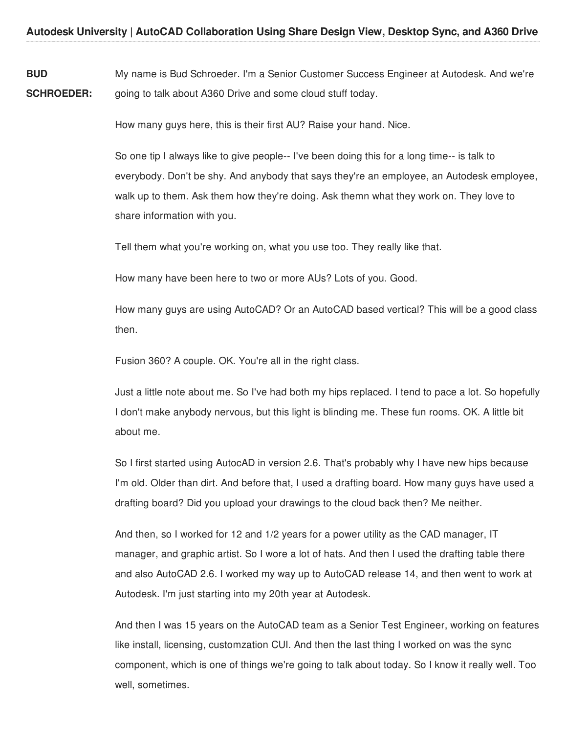**BUD SCHROEDER:** My name is Bud Schroeder. I'm a Senior Customer Success Engineer at Autodesk. And we're going to talk about A360 Drive and some cloud stuff today.

How many guys here, this is their first AU? Raise your hand. Nice.

So one tip I always like to give people-- I've been doing this for a long time-- is talk to everybody. Don't be shy. And anybody that says they're an employee, an Autodesk employee, walk up to them. Ask them how they're doing. Ask themn what they work on. They love to share information with you.

Tell them what you're working on, what you use too. They really like that.

How many have been here to two or more AUs? Lots of you. Good.

How many guys are using AutoCAD? Or an AutoCAD based vertical? This will be a good class then.

Fusion 360? A couple. OK. You're all in the right class.

Just a little note about me. So I've had both my hips replaced. I tend to pace a lot. So hopefully I don't make anybody nervous, but this light is blinding me. These fun rooms. OK. A little bit about me.

So I first started using AutocAD in version 2.6. That's probably why I have new hips because I'm old. Older than dirt. And before that, I used a drafting board. How many guys have used a drafting board? Did you upload your drawings to the cloud back then? Me neither.

And then, so I worked for 12 and 1/2 years for a power utility as the CAD manager, IT manager, and graphic artist. So I wore a lot of hats. And then I used the drafting table there and also AutoCAD 2.6. I worked my way up to AutoCAD release 14, and then went to work at Autodesk. I'm just starting into my 20th year at Autodesk.

And then I was 15 years on the AutoCAD team as a Senior Test Engineer, working on features like install, licensing, customzation CUI. And then the last thing I worked on was the sync component, which is one of things we're going to talk about today. So I know it really well. Too well, sometimes.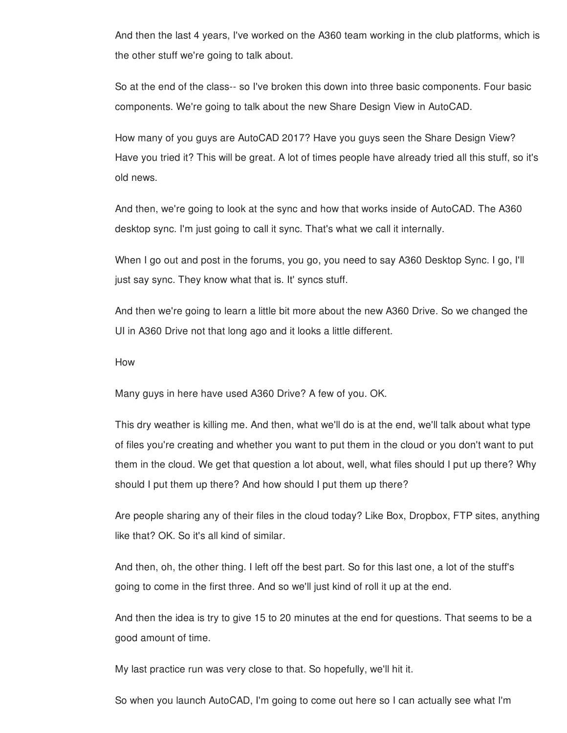And then the last 4 years, I've worked on the A360 team working in the club platforms, which is the other stuff we're going to talk about.

So at the end of the class-- so I've broken this down into three basic components. Four basic components. We're going to talk about the new Share Design View in AutoCAD.

How many of you guys are AutoCAD 2017? Have you guys seen the Share Design View? Have you tried it? This will be great. A lot of times people have already tried all this stuff, so it's old news.

And then, we're going to look at the sync and how that works inside of AutoCAD. The A360 desktop sync. I'm just going to call it sync. That's what we call it internally.

When I go out and post in the forums, you go, you need to say A360 Desktop Sync. I go, I'll just say sync. They know what that is. It' syncs stuff.

And then we're going to learn a little bit more about the new A360 Drive. So we changed the UI in A360 Drive not that long ago and it looks a little different.

How

Many guys in here have used A360 Drive? A few of you. OK.

This dry weather is killing me. And then, what we'll do is at the end, we'll talk about what type of files you're creating and whether you want to put them in the cloud or you don't want to put them in the cloud. We get that question a lot about, well, what files should I put up there? Why should I put them up there? And how should I put them up there?

Are people sharing any of their files in the cloud today? Like Box, Dropbox, FTP sites, anything like that? OK. So it's all kind of similar.

And then, oh, the other thing. I left off the best part. So for this last one, a lot of the stuff's going to come in the first three. And so we'll just kind of roll it up at the end.

And then the idea is try to give 15 to 20 minutes at the end for questions. That seems to be a good amount of time.

My last practice run was very close to that. So hopefully, we'll hit it.

So when you launch AutoCAD, I'm going to come out here so I can actually see what I'm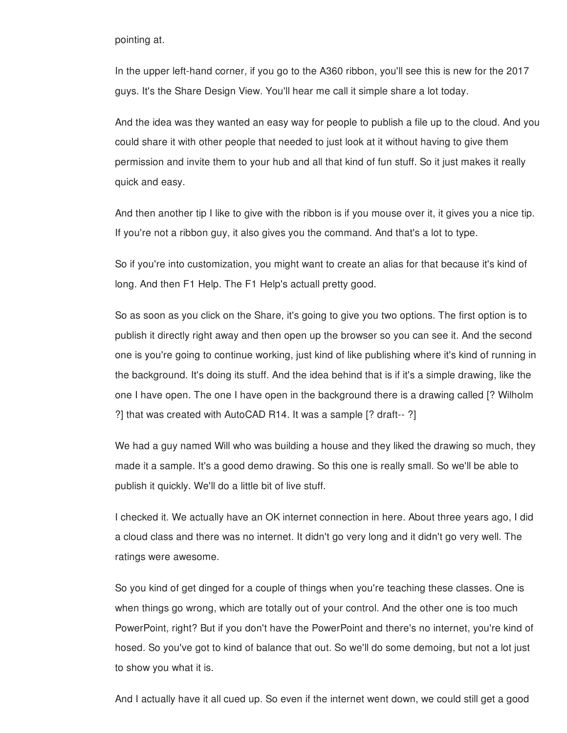pointing at.

In the upper left-hand corner, if you go to the A360 ribbon, you'll see this is new for the 2017 guys. It's the Share Design View. You'll hear me call it simple share a lot today.

And the idea was they wanted an easy way for people to publish a file up to the cloud. And you could share it with other people that needed to just look at it without having to give them permission and invite them to your hub and all that kind of fun stuff. So it just makes it really quick and easy.

And then another tip I like to give with the ribbon is if you mouse over it, it gives you a nice tip. If you're not a ribbon guy, it also gives you the command. And that's a lot to type.

So if you're into customization, you might want to create an alias for that because it's kind of long. And then F1 Help. The F1 Help's actuall pretty good.

So as soon as you click on the Share, it's going to give you two options. The first option is to publish it directly right away and then open up the browser so you can see it. And the second one is you're going to continue working, just kind of like publishing where it's kind of running in the background. It's doing its stuff. And the idea behind that is if it's a simple drawing, like the one I have open. The one I have open in the background there is a drawing called [? Wilholm ?] that was created with AutoCAD R14. It was a sample [? draft-- ?]

We had a guy named Will who was building a house and they liked the drawing so much, they made it a sample. It's a good demo drawing. So this one is really small. So we'll be able to publish it quickly. We'll do a little bit of live stuff.

I checked it. We actually have an OK internet connection in here. About three years ago, I did a cloud class and there was no internet. It didn't go very long and it didn't go very well. The ratings were awesome.

So you kind of get dinged for a couple of things when you're teaching these classes. One is when things go wrong, which are totally out of your control. And the other one is too much PowerPoint, right? But if you don't have the PowerPoint and there's no internet, you're kind of hosed. So you've got to kind of balance that out. So we'll do some demoing, but not a lot just to show you what it is.

And I actually have it all cued up. So even if the internet went down, we could still get a good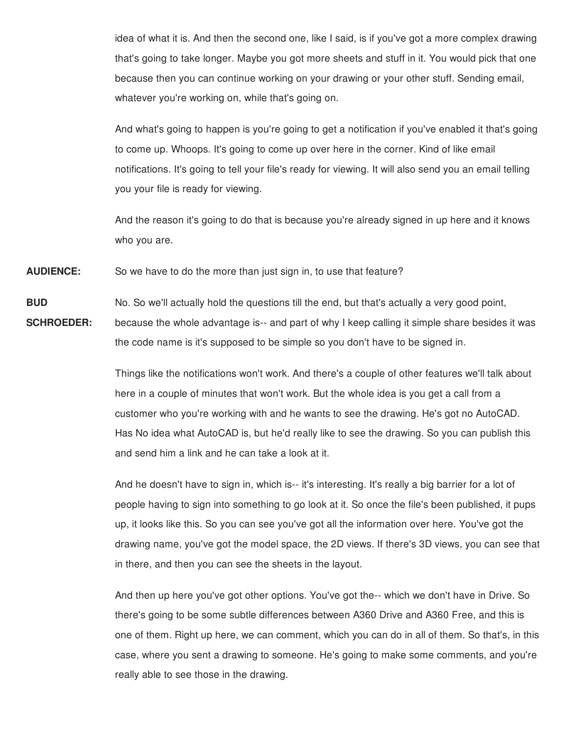idea of what it is. And then the second one, like I said, is if you've got a more complex drawing that's going to take longer. Maybe you got more sheets and stuff in it. You would pick that one because then you can continue working on your drawing or your other stuff. Sending email, whatever you're working on, while that's going on.

And what's going to happen is you're going to get a notification if you've enabled it that's going to come up. Whoops. It's going to come up over here in the corner. Kind of like email notifications. It's going to tell your file's ready for viewing. It will also send you an email telling you your file is ready for viewing.

And the reason it's going to do that is because you're already signed in up here and it knows who you are.

**AUDIENCE:** So we have to do the more than just sign in, to use that feature?

**BUD** No. So we'll actually hold the questions till the end, but that's actually a very good point,

**SCHROEDER:** because the whole advantage is-- and part of why I keep calling it simple share besides it was the code name is it's supposed to be simple so you don't have to be signed in.

> Things like the notifications won't work. And there's a couple of other features we'll talk about here in a couple of minutes that won't work. But the whole idea is you get a call from a customer who you're working with and he wants to see the drawing. He's got no AutoCAD. Has No idea what AutoCAD is, but he'd really like to see the drawing. So you can publish this and send him a link and he can take a look at it.

And he doesn't have to sign in, which is-- it's interesting. It's really a big barrier for a lot of people having to sign into something to go look at it. So once the file's been published, it pups up, it looks like this. So you can see you've got all the information over here. You've got the drawing name, you've got the model space, the 2D views. If there's 3D views, you can see that in there, and then you can see the sheets in the layout.

And then up here you've got other options. You've got the-- which we don't have in Drive. So there's going to be some subtle differences between A360 Drive and A360 Free, and this is one of them. Right up here, we can comment, which you can do in all of them. So that's, in this case, where you sent a drawing to someone. He's going to make some comments, and you're really able to see those in the drawing.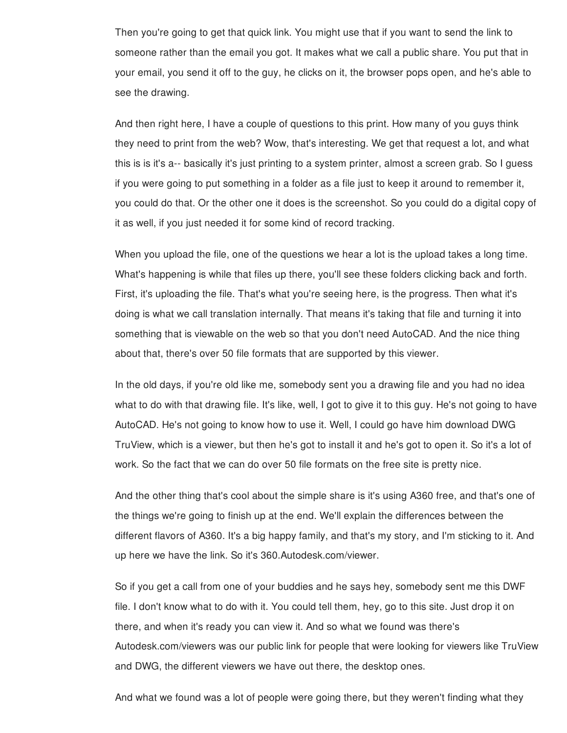Then you're going to get that quick link. You might use that if you want to send the link to someone rather than the email you got. It makes what we call a public share. You put that in your email, you send it off to the guy, he clicks on it, the browser pops open, and he's able to see the drawing.

And then right here, I have a couple of questions to this print. How many of you guys think they need to print from the web? Wow, that's interesting. We get that request a lot, and what this is is it's a-- basically it's just printing to a system printer, almost a screen grab. So I guess if you were going to put something in a folder as a file just to keep it around to remember it, you could do that. Or the other one it does is the screenshot. So you could do a digital copy of it as well, if you just needed it for some kind of record tracking.

When you upload the file, one of the questions we hear a lot is the upload takes a long time. What's happening is while that files up there, you'll see these folders clicking back and forth. First, it's uploading the file. That's what you're seeing here, is the progress. Then what it's doing is what we call translation internally. That means it's taking that file and turning it into something that is viewable on the web so that you don't need AutoCAD. And the nice thing about that, there's over 50 file formats that are supported by this viewer.

In the old days, if you're old like me, somebody sent you a drawing file and you had no idea what to do with that drawing file. It's like, well, I got to give it to this guy. He's not going to have AutoCAD. He's not going to know how to use it. Well, I could go have him download DWG TruView, which is a viewer, but then he's got to install it and he's got to open it. So it's a lot of work. So the fact that we can do over 50 file formats on the free site is pretty nice.

And the other thing that's cool about the simple share is it's using A360 free, and that's one of the things we're going to finish up at the end. We'll explain the differences between the different flavors of A360. It's a big happy family, and that's my story, and I'm sticking to it. And up here we have the link. So it's 360.Autodesk.com/viewer.

So if you get a call from one of your buddies and he says hey, somebody sent me this DWF file. I don't know what to do with it. You could tell them, hey, go to this site. Just drop it on there, and when it's ready you can view it. And so what we found was there's Autodesk.com/viewers was our public link for people that were looking for viewers like TruView and DWG, the different viewers we have out there, the desktop ones.

And what we found was a lot of people were going there, but they weren't finding what they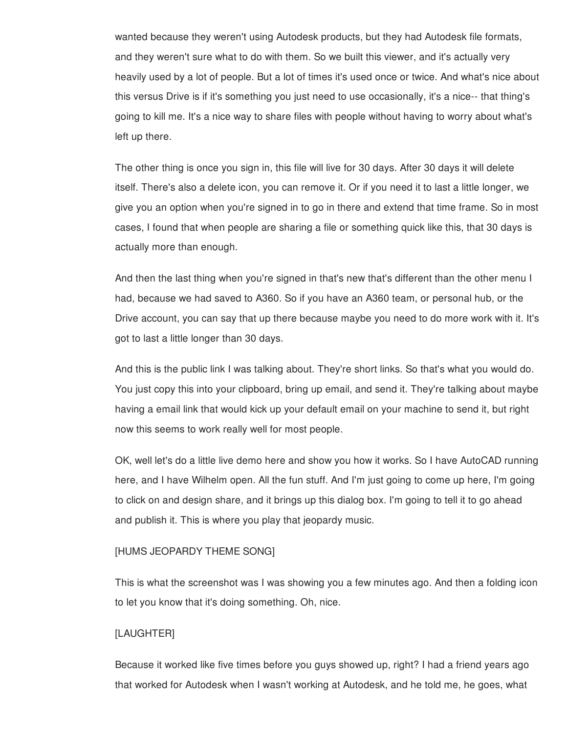wanted because they weren't using Autodesk products, but they had Autodesk file formats, and they weren't sure what to do with them. So we built this viewer, and it's actually very heavily used by a lot of people. But a lot of times it's used once or twice. And what's nice about this versus Drive is if it's something you just need to use occasionally, it's a nice-- that thing's going to kill me. It's a nice way to share files with people without having to worry about what's left up there.

The other thing is once you sign in, this file will live for 30 days. After 30 days it will delete itself. There's also a delete icon, you can remove it. Or if you need it to last a little longer, we give you an option when you're signed in to go in there and extend that time frame. So in most cases, I found that when people are sharing a file or something quick like this, that 30 days is actually more than enough.

And then the last thing when you're signed in that's new that's different than the other menu I had, because we had saved to A360. So if you have an A360 team, or personal hub, or the Drive account, you can say that up there because maybe you need to do more work with it. It's got to last a little longer than 30 days.

And this is the public link I was talking about. They're short links. So that's what you would do. You just copy this into your clipboard, bring up email, and send it. They're talking about maybe having a email link that would kick up your default email on your machine to send it, but right now this seems to work really well for most people.

OK, well let's do a little live demo here and show you how it works. So I have AutoCAD running here, and I have Wilhelm open. All the fun stuff. And I'm just going to come up here, I'm going to click on and design share, and it brings up this dialog box. I'm going to tell it to go ahead and publish it. This is where you play that jeopardy music.

# [HUMS JEOPARDY THEME SONG]

This is what the screenshot was I was showing you a few minutes ago. And then a folding icon to let you know that it's doing something. Oh, nice.

# [LAUGHTER]

Because it worked like five times before you guys showed up, right? I had a friend years ago that worked for Autodesk when I wasn't working at Autodesk, and he told me, he goes, what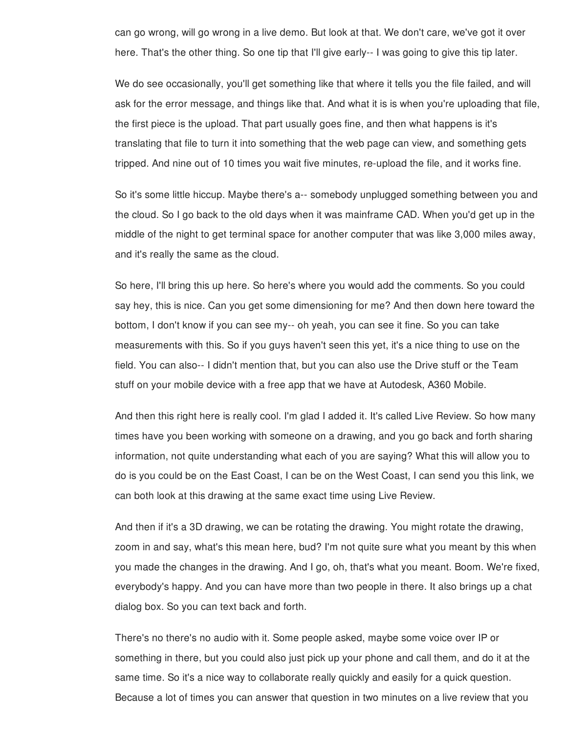can go wrong, will go wrong in a live demo. But look at that. We don't care, we've got it over here. That's the other thing. So one tip that I'll give early-- I was going to give this tip later.

We do see occasionally, you'll get something like that where it tells you the file failed, and will ask for the error message, and things like that. And what it is is when you're uploading that file, the first piece is the upload. That part usually goes fine, and then what happens is it's translating that file to turn it into something that the web page can view, and something gets tripped. And nine out of 10 times you wait five minutes, re-upload the file, and it works fine.

So it's some little hiccup. Maybe there's a-- somebody unplugged something between you and the cloud. So I go back to the old days when it was mainframe CAD. When you'd get up in the middle of the night to get terminal space for another computer that was like 3,000 miles away, and it's really the same as the cloud.

So here, I'll bring this up here. So here's where you would add the comments. So you could say hey, this is nice. Can you get some dimensioning for me? And then down here toward the bottom, I don't know if you can see my-- oh yeah, you can see it fine. So you can take measurements with this. So if you guys haven't seen this yet, it's a nice thing to use on the field. You can also-- I didn't mention that, but you can also use the Drive stuff or the Team stuff on your mobile device with a free app that we have at Autodesk, A360 Mobile.

And then this right here is really cool. I'm glad I added it. It's called Live Review. So how many times have you been working with someone on a drawing, and you go back and forth sharing information, not quite understanding what each of you are saying? What this will allow you to do is you could be on the East Coast, I can be on the West Coast, I can send you this link, we can both look at this drawing at the same exact time using Live Review.

And then if it's a 3D drawing, we can be rotating the drawing. You might rotate the drawing, zoom in and say, what's this mean here, bud? I'm not quite sure what you meant by this when you made the changes in the drawing. And I go, oh, that's what you meant. Boom. We're fixed, everybody's happy. And you can have more than two people in there. It also brings up a chat dialog box. So you can text back and forth.

There's no there's no audio with it. Some people asked, maybe some voice over IP or something in there, but you could also just pick up your phone and call them, and do it at the same time. So it's a nice way to collaborate really quickly and easily for a quick question. Because a lot of times you can answer that question in two minutes on a live review that you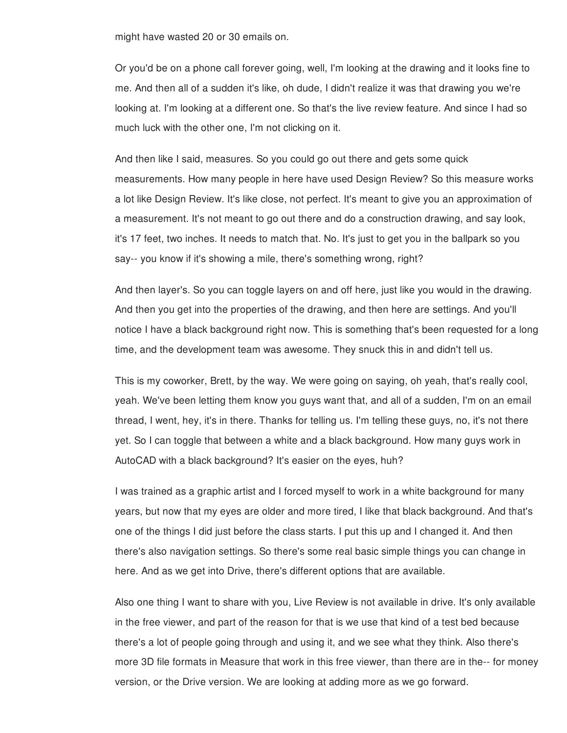might have wasted 20 or 30 emails on.

Or you'd be on a phone call forever going, well, I'm looking at the drawing and it looks fine to me. And then all of a sudden it's like, oh dude, I didn't realize it was that drawing you we're looking at. I'm looking at a different one. So that's the live review feature. And since I had so much luck with the other one, I'm not clicking on it.

And then like I said, measures. So you could go out there and gets some quick measurements. How many people in here have used Design Review? So this measure works a lot like Design Review. It's like close, not perfect. It's meant to give you an approximation of a measurement. It's not meant to go out there and do a construction drawing, and say look, it's 17 feet, two inches. It needs to match that. No. It's just to get you in the ballpark so you say-- you know if it's showing a mile, there's something wrong, right?

And then layer's. So you can toggle layers on and off here, just like you would in the drawing. And then you get into the properties of the drawing, and then here are settings. And you'll notice I have a black background right now. This is something that's been requested for a long time, and the development team was awesome. They snuck this in and didn't tell us.

This is my coworker, Brett, by the way. We were going on saying, oh yeah, that's really cool, yeah. We've been letting them know you guys want that, and all of a sudden, I'm on an email thread, I went, hey, it's in there. Thanks for telling us. I'm telling these guys, no, it's not there yet. So I can toggle that between a white and a black background. How many guys work in AutoCAD with a black background? It's easier on the eyes, huh?

I was trained as a graphic artist and I forced myself to work in a white background for many years, but now that my eyes are older and more tired, I like that black background. And that's one of the things I did just before the class starts. I put this up and I changed it. And then there's also navigation settings. So there's some real basic simple things you can change in here. And as we get into Drive, there's different options that are available.

Also one thing I want to share with you, Live Review is not available in drive. It's only available in the free viewer, and part of the reason for that is we use that kind of a test bed because there's a lot of people going through and using it, and we see what they think. Also there's more 3D file formats in Measure that work in this free viewer, than there are in the-- for money version, or the Drive version. We are looking at adding more as we go forward.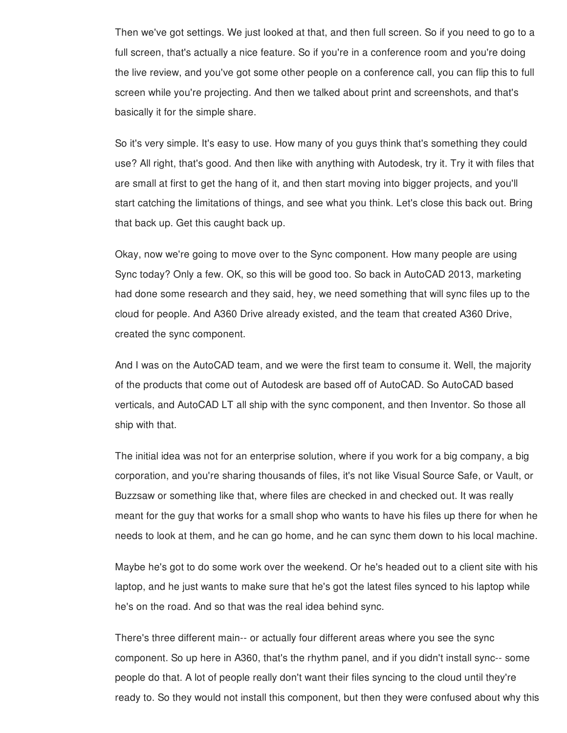Then we've got settings. We just looked at that, and then full screen. So if you need to go to a full screen, that's actually a nice feature. So if you're in a conference room and you're doing the live review, and you've got some other people on a conference call, you can flip this to full screen while you're projecting. And then we talked about print and screenshots, and that's basically it for the simple share.

So it's very simple. It's easy to use. How many of you guys think that's something they could use? All right, that's good. And then like with anything with Autodesk, try it. Try it with files that are small at first to get the hang of it, and then start moving into bigger projects, and you'll start catching the limitations of things, and see what you think. Let's close this back out. Bring that back up. Get this caught back up.

Okay, now we're going to move over to the Sync component. How many people are using Sync today? Only a few. OK, so this will be good too. So back in AutoCAD 2013, marketing had done some research and they said, hey, we need something that will sync files up to the cloud for people. And A360 Drive already existed, and the team that created A360 Drive, created the sync component.

And I was on the AutoCAD team, and we were the first team to consume it. Well, the majority of the products that come out of Autodesk are based off of AutoCAD. So AutoCAD based verticals, and AutoCAD LT all ship with the sync component, and then Inventor. So those all ship with that.

The initial idea was not for an enterprise solution, where if you work for a big company, a big corporation, and you're sharing thousands of files, it's not like Visual Source Safe, or Vault, or Buzzsaw or something like that, where files are checked in and checked out. It was really meant for the guy that works for a small shop who wants to have his files up there for when he needs to look at them, and he can go home, and he can sync them down to his local machine.

Maybe he's got to do some work over the weekend. Or he's headed out to a client site with his laptop, and he just wants to make sure that he's got the latest files synced to his laptop while he's on the road. And so that was the real idea behind sync.

There's three different main-- or actually four different areas where you see the sync component. So up here in A360, that's the rhythm panel, and if you didn't install sync-- some people do that. A lot of people really don't want their files syncing to the cloud until they're ready to. So they would not install this component, but then they were confused about why this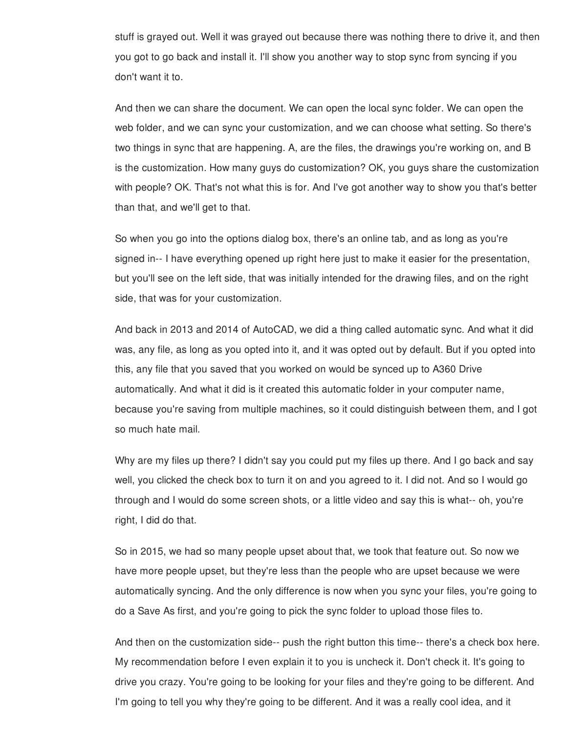stuff is grayed out. Well it was grayed out because there was nothing there to drive it, and then you got to go back and install it. I'll show you another way to stop sync from syncing if you don't want it to.

And then we can share the document. We can open the local sync folder. We can open the web folder, and we can sync your customization, and we can choose what setting. So there's two things in sync that are happening. A, are the files, the drawings you're working on, and B is the customization. How many guys do customization? OK, you guys share the customization with people? OK. That's not what this is for. And I've got another way to show you that's better than that, and we'll get to that.

So when you go into the options dialog box, there's an online tab, and as long as you're signed in-- I have everything opened up right here just to make it easier for the presentation, but you'll see on the left side, that was initially intended for the drawing files, and on the right side, that was for your customization.

And back in 2013 and 2014 of AutoCAD, we did a thing called automatic sync. And what it did was, any file, as long as you opted into it, and it was opted out by default. But if you opted into this, any file that you saved that you worked on would be synced up to A360 Drive automatically. And what it did is it created this automatic folder in your computer name, because you're saving from multiple machines, so it could distinguish between them, and I got so much hate mail.

Why are my files up there? I didn't say you could put my files up there. And I go back and say well, you clicked the check box to turn it on and you agreed to it. I did not. And so I would go through and I would do some screen shots, or a little video and say this is what-- oh, you're right, I did do that.

So in 2015, we had so many people upset about that, we took that feature out. So now we have more people upset, but they're less than the people who are upset because we were automatically syncing. And the only difference is now when you sync your files, you're going to do a Save As first, and you're going to pick the sync folder to upload those files to.

And then on the customization side-- push the right button this time-- there's a check box here. My recommendation before I even explain it to you is uncheck it. Don't check it. It's going to drive you crazy. You're going to be looking for your files and they're going to be different. And I'm going to tell you why they're going to be different. And it was a really cool idea, and it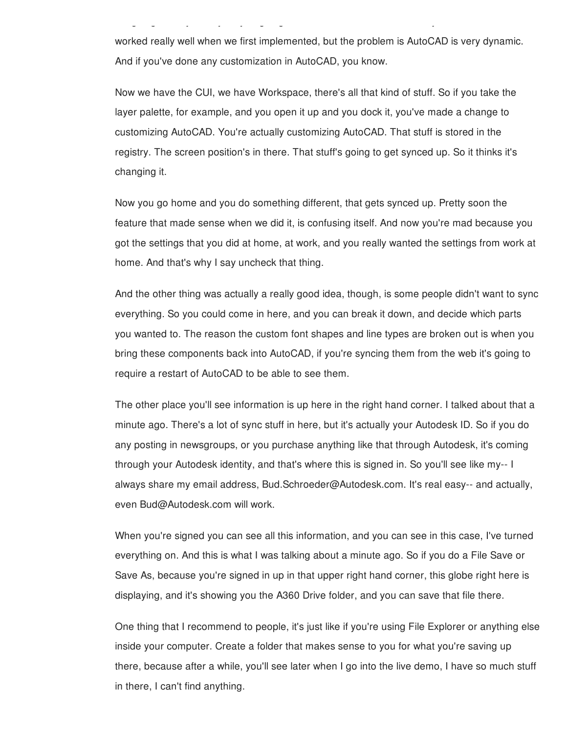worked really well when we first implemented, but the problem is AutoCAD is very dynamic. And if you've done any customization in AutoCAD, you know.

It is tell you why they're going to tell you why they're going to be different. And it was a really cool idea,

Now we have the CUI, we have Workspace, there's all that kind of stuff. So if you take the layer palette, for example, and you open it up and you dock it, you've made a change to customizing AutoCAD. You're actually customizing AutoCAD. That stuff is stored in the registry. The screen position's in there. That stuff's going to get synced up. So it thinks it's changing it.

Now you go home and you do something different, that gets synced up. Pretty soon the feature that made sense when we did it, is confusing itself. And now you're mad because you got the settings that you did at home, at work, and you really wanted the settings from work at home. And that's why I say uncheck that thing.

And the other thing was actually a really good idea, though, is some people didn't want to sync everything. So you could come in here, and you can break it down, and decide which parts you wanted to. The reason the custom font shapes and line types are broken out is when you bring these components back into AutoCAD, if you're syncing them from the web it's going to require a restart of AutoCAD to be able to see them.

The other place you'll see information is up here in the right hand corner. I talked about that a minute ago. There's a lot of sync stuff in here, but it's actually your Autodesk ID. So if you do any posting in newsgroups, or you purchase anything like that through Autodesk, it's coming through your Autodesk identity, and that's where this is signed in. So you'll see like my-- I always share my email address, Bud.Schroeder@Autodesk.com. It's real easy-- and actually, even Bud@Autodesk.com will work.

When you're signed you can see all this information, and you can see in this case, I've turned everything on. And this is what I was talking about a minute ago. So if you do a File Save or Save As, because you're signed in up in that upper right hand corner, this globe right here is displaying, and it's showing you the A360 Drive folder, and you can save that file there.

One thing that I recommend to people, it's just like if you're using File Explorer or anything else inside your computer. Create a folder that makes sense to you for what you're saving up there, because after a while, you'll see later when I go into the live demo, I have so much stuff in there, I can't find anything.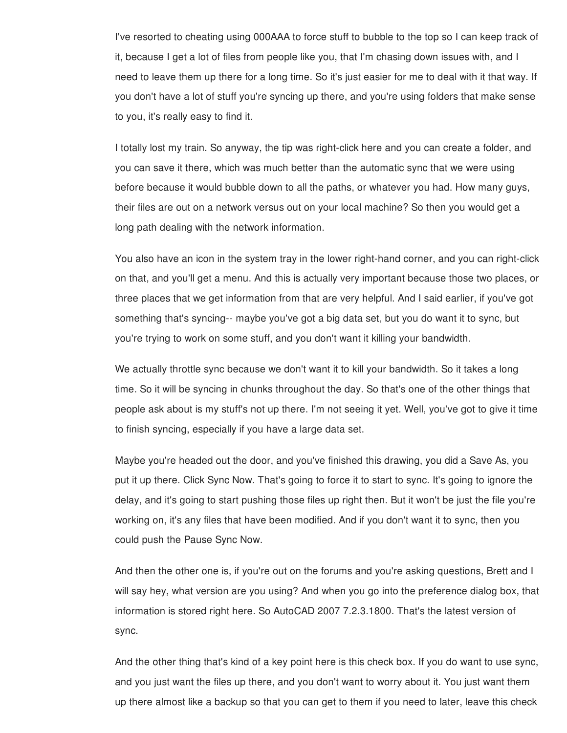I've resorted to cheating using 000AAA to force stuff to bubble to the top so I can keep track of it, because I get a lot of files from people like you, that I'm chasing down issues with, and I need to leave them up there for a long time. So it's just easier for me to deal with it that way. If you don't have a lot of stuff you're syncing up there, and you're using folders that make sense to you, it's really easy to find it.

I totally lost my train. So anyway, the tip was right-click here and you can create a folder, and you can save it there, which was much better than the automatic sync that we were using before because it would bubble down to all the paths, or whatever you had. How many guys, their files are out on a network versus out on your local machine? So then you would get a long path dealing with the network information.

You also have an icon in the system tray in the lower right-hand corner, and you can right-click on that, and you'll get a menu. And this is actually very important because those two places, or three places that we get information from that are very helpful. And I said earlier, if you've got something that's syncing-- maybe you've got a big data set, but you do want it to sync, but you're trying to work on some stuff, and you don't want it killing your bandwidth.

We actually throttle sync because we don't want it to kill your bandwidth. So it takes a long time. So it will be syncing in chunks throughout the day. So that's one of the other things that people ask about is my stuff's not up there. I'm not seeing it yet. Well, you've got to give it time to finish syncing, especially if you have a large data set.

Maybe you're headed out the door, and you've finished this drawing, you did a Save As, you put it up there. Click Sync Now. That's going to force it to start to sync. It's going to ignore the delay, and it's going to start pushing those files up right then. But it won't be just the file you're working on, it's any files that have been modified. And if you don't want it to sync, then you could push the Pause Sync Now.

And then the other one is, if you're out on the forums and you're asking questions, Brett and I will say hey, what version are you using? And when you go into the preference dialog box, that information is stored right here. So AutoCAD 2007 7.2.3.1800. That's the latest version of sync.

And the other thing that's kind of a key point here is this check box. If you do want to use sync, and you just want the files up there, and you don't want to worry about it. You just want them up there almost like a backup so that you can get to them if you need to later, leave this check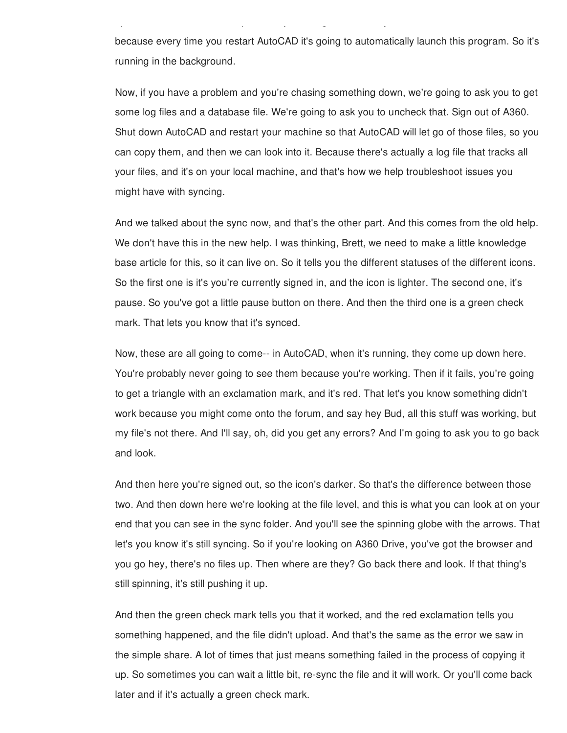because every time you restart AutoCAD it's going to automatically launch this program. So it's running in the background.

 $u_{\rm eff}$  there almost like a backup so that  $y_{\rm eff}$  you can get to the mix  $\eta$  if  $y_{\rm eff}$ 

Now, if you have a problem and you're chasing something down, we're going to ask you to get some log files and a database file. We're going to ask you to uncheck that. Sign out of A360. Shut down AutoCAD and restart your machine so that AutoCAD will let go of those files, so you can copy them, and then we can look into it. Because there's actually a log file that tracks all your files, and it's on your local machine, and that's how we help troubleshoot issues you might have with syncing.

And we talked about the sync now, and that's the other part. And this comes from the old help. We don't have this in the new help. I was thinking, Brett, we need to make a little knowledge base article for this, so it can live on. So it tells you the different statuses of the different icons. So the first one is it's you're currently signed in, and the icon is lighter. The second one, it's pause. So you've got a little pause button on there. And then the third one is a green check mark. That lets you know that it's synced.

Now, these are all going to come-- in AutoCAD, when it's running, they come up down here. You're probably never going to see them because you're working. Then if it fails, you're going to get a triangle with an exclamation mark, and it's red. That let's you know something didn't work because you might come onto the forum, and say hey Bud, all this stuff was working, but my file's not there. And I'll say, oh, did you get any errors? And I'm going to ask you to go back and look.

And then here you're signed out, so the icon's darker. So that's the difference between those two. And then down here we're looking at the file level, and this is what you can look at on your end that you can see in the sync folder. And you'll see the spinning globe with the arrows. That let's you know it's still syncing. So if you're looking on A360 Drive, you've got the browser and you go hey, there's no files up. Then where are they? Go back there and look. If that thing's still spinning, it's still pushing it up.

And then the green check mark tells you that it worked, and the red exclamation tells you something happened, and the file didn't upload. And that's the same as the error we saw in the simple share. A lot of times that just means something failed in the process of copying it up. So sometimes you can wait a little bit, re-sync the file and it will work. Or you'll come back later and if it's actually a green check mark.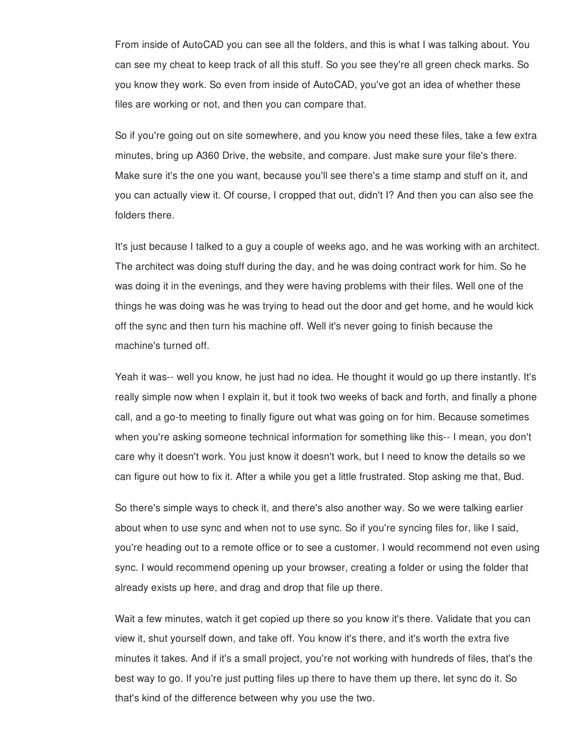From inside of AutoCAD you can see all the folders, and this is what I was talking about. You can see my cheat to keep track of all this stuff. So you see they're all green check marks. So you know they work. So even from inside of AutoCAD, you've got an idea of whether these files are working or not, and then you can compare that.

So if you're going out on site somewhere, and you know you need these files, take a few extra minutes, bring up A360 Drive, the website, and compare. Just make sure your file's there. Make sure it's the one you want, because you'll see there's a time stamp and stuff on it, and you can actually view it. Of course, I cropped that out, didn't I? And then you can also see the folders there.

It's just because I talked to a guy a couple of weeks ago, and he was working with an architect. The architect was doing stuff during the day, and he was doing contract work for him. So he was doing it in the evenings, and they were having problems with their files. Well one of the things he was doing was he was trying to head out the door and get home, and he would kick off the sync and then turn his machine off. Well it's never going to finish because the machine's turned off.

Yeah it was-- well you know, he just had no idea. He thought it would go up there instantly. It's really simple now when I explain it, but it took two weeks of back and forth, and finally a phone call, and a go-to meeting to finally figure out what was going on for him. Because sometimes when you're asking someone technical information for something like this-- I mean, you don't care why it doesn't work. You just know it doesn't work, but I need to know the details so we can figure out how to fix it. After a while you get a little frustrated. Stop asking me that, Bud.

So there's simple ways to check it, and there's also another way. So we were talking earlier about when to use sync and when not to use sync. So if you're syncing files for, like I said, you're heading out to a remote office or to see a customer. I would recommend not even using sync. I would recommend opening up your browser, creating a folder or using the folder that already exists up here, and drag and drop that file up there.

Wait a few minutes, watch it get copied up there so you know it's there. Validate that you can view it, shut yourself down, and take off. You know it's there, and it's worth the extra five minutes it takes. And if it's a small project, you're not working with hundreds of files, that's the best way to go. If you're just putting files up there to have them up there, let sync do it. So that's kind of the difference between why you use the two.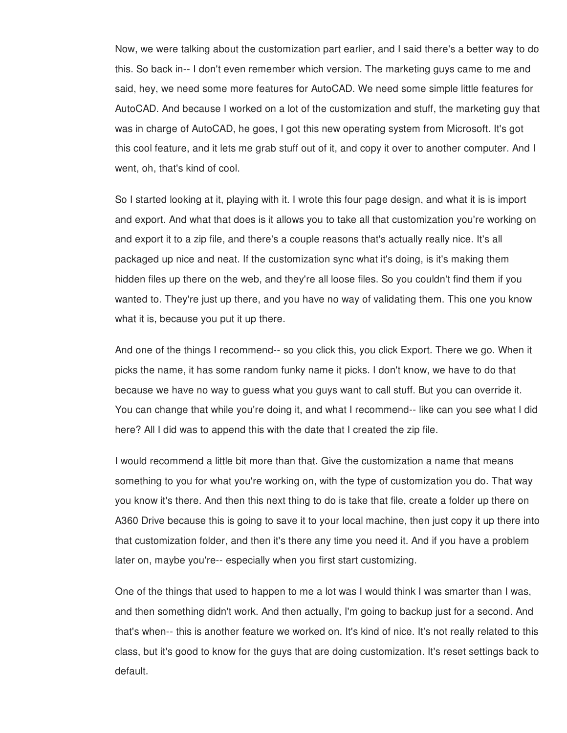Now, we were talking about the customization part earlier, and I said there's a better way to do this. So back in-- I don't even remember which version. The marketing guys came to me and said, hey, we need some more features for AutoCAD. We need some simple little features for AutoCAD. And because I worked on a lot of the customization and stuff, the marketing guy that was in charge of AutoCAD, he goes, I got this new operating system from Microsoft. It's got this cool feature, and it lets me grab stuff out of it, and copy it over to another computer. And I went, oh, that's kind of cool.

So I started looking at it, playing with it. I wrote this four page design, and what it is is import and export. And what that does is it allows you to take all that customization you're working on and export it to a zip file, and there's a couple reasons that's actually really nice. It's all packaged up nice and neat. If the customization sync what it's doing, is it's making them hidden files up there on the web, and they're all loose files. So you couldn't find them if you wanted to. They're just up there, and you have no way of validating them. This one you know what it is, because you put it up there.

And one of the things I recommend-- so you click this, you click Export. There we go. When it picks the name, it has some random funky name it picks. I don't know, we have to do that because we have no way to guess what you guys want to call stuff. But you can override it. You can change that while you're doing it, and what I recommend-- like can you see what I did here? All I did was to append this with the date that I created the zip file.

I would recommend a little bit more than that. Give the customization a name that means something to you for what you're working on, with the type of customization you do. That way you know it's there. And then this next thing to do is take that file, create a folder up there on A360 Drive because this is going to save it to your local machine, then just copy it up there into that customization folder, and then it's there any time you need it. And if you have a problem later on, maybe you're-- especially when you first start customizing.

One of the things that used to happen to me a lot was I would think I was smarter than I was, and then something didn't work. And then actually, I'm going to backup just for a second. And that's when-- this is another feature we worked on. It's kind of nice. It's not really related to this class, but it's good to know for the guys that are doing customization. It's reset settings back to default.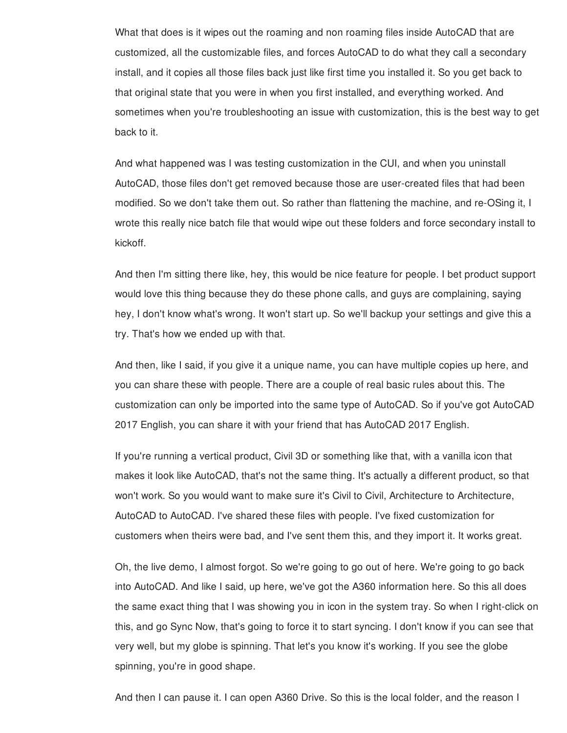What that does is it wipes out the roaming and non roaming files inside AutoCAD that are customized, all the customizable files, and forces AutoCAD to do what they call a secondary install, and it copies all those files back just like first time you installed it. So you get back to that original state that you were in when you first installed, and everything worked. And sometimes when you're troubleshooting an issue with customization, this is the best way to get back to it.

And what happened was I was testing customization in the CUI, and when you uninstall AutoCAD, those files don't get removed because those are user-created files that had been modified. So we don't take them out. So rather than flattening the machine, and re-OSing it, I wrote this really nice batch file that would wipe out these folders and force secondary install to kickoff.

And then I'm sitting there like, hey, this would be nice feature for people. I bet product support would love this thing because they do these phone calls, and guys are complaining, saying hey, I don't know what's wrong. It won't start up. So we'll backup your settings and give this a try. That's how we ended up with that.

And then, like I said, if you give it a unique name, you can have multiple copies up here, and you can share these with people. There are a couple of real basic rules about this. The customization can only be imported into the same type of AutoCAD. So if you've got AutoCAD 2017 English, you can share it with your friend that has AutoCAD 2017 English.

If you're running a vertical product, Civil 3D or something like that, with a vanilla icon that makes it look like AutoCAD, that's not the same thing. It's actually a different product, so that won't work. So you would want to make sure it's Civil to Civil, Architecture to Architecture, AutoCAD to AutoCAD. I've shared these files with people. I've fixed customization for customers when theirs were bad, and I've sent them this, and they import it. It works great.

Oh, the live demo, I almost forgot. So we're going to go out of here. We're going to go back into AutoCAD. And like I said, up here, we've got the A360 information here. So this all does the same exact thing that I was showing you in icon in the system tray. So when I right-click on this, and go Sync Now, that's going to force it to start syncing. I don't know if you can see that very well, but my globe is spinning. That let's you know it's working. If you see the globe spinning, you're in good shape.

And then I can pause it. I can open A360 Drive. So this is the local folder, and the reason I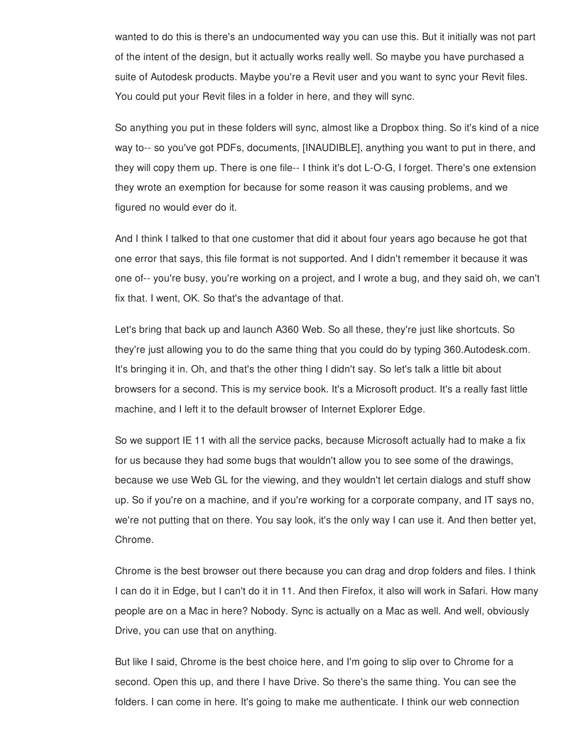wanted to do this is there's an undocumented way you can use this. But it initially was not part of the intent of the design, but it actually works really well. So maybe you have purchased a suite of Autodesk products. Maybe you're a Revit user and you want to sync your Revit files. You could put your Revit files in a folder in here, and they will sync.

So anything you put in these folders will sync, almost like a Dropbox thing. So it's kind of a nice way to-- so you've got PDFs, documents, [INAUDIBLE], anything you want to put in there, and they will copy them up. There is one file-- I think it's dot L-O-G, I forget. There's one extension they wrote an exemption for because for some reason it was causing problems, and we figured no would ever do it.

And I think I talked to that one customer that did it about four years ago because he got that one error that says, this file format is not supported. And I didn't remember it because it was one of-- you're busy, you're working on a project, and I wrote a bug, and they said oh, we can't fix that. I went, OK. So that's the advantage of that.

Let's bring that back up and launch A360 Web. So all these, they're just like shortcuts. So they're just allowing you to do the same thing that you could do by typing 360.Autodesk.com. It's bringing it in. Oh, and that's the other thing I didn't say. So let's talk a little bit about browsers for a second. This is my service book. It's a Microsoft product. It's a really fast little machine, and I left it to the default browser of Internet Explorer Edge.

So we support IE 11 with all the service packs, because Microsoft actually had to make a fix for us because they had some bugs that wouldn't allow you to see some of the drawings, because we use Web GL for the viewing, and they wouldn't let certain dialogs and stuff show up. So if you're on a machine, and if you're working for a corporate company, and IT says no, we're not putting that on there. You say look, it's the only way I can use it. And then better yet, Chrome.

Chrome is the best browser out there because you can drag and drop folders and files. I think I can do it in Edge, but I can't do it in 11. And then Firefox, it also will work in Safari. How many people are on a Mac in here? Nobody. Sync is actually on a Mac as well. And well, obviously Drive, you can use that on anything.

But like I said, Chrome is the best choice here, and I'm going to slip over to Chrome for a second. Open this up, and there I have Drive. So there's the same thing. You can see the folders. I can come in here. It's going to make me authenticate. I think our web connection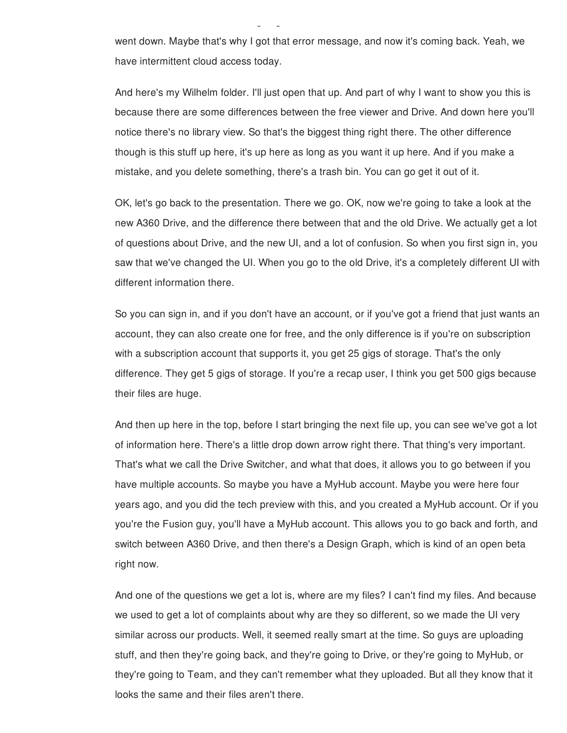went down. Maybe that's why I got that error message, and now it's coming back. Yeah, we have intermittent cloud access today.

And here's my Wilhelm folder. I'll just open that up. And part of why I want to show you this is because there are some differences between the free viewer and Drive. And down here you'll notice there's no library view. So that's the biggest thing right there. The other difference though is this stuff up here, it's up here as long as you want it up here. And if you make a mistake, and you delete something, there's a trash bin. You can go get it out of it.

OK, let's go back to the presentation. There we go. OK, now we're going to take a look at the new A360 Drive, and the difference there between that and the old Drive. We actually get a lot of questions about Drive, and the new UI, and a lot of confusion. So when you first sign in, you saw that we've changed the UI. When you go to the old Drive, it's a completely different UI with different information there.

So you can sign in, and if you don't have an account, or if you've got a friend that just wants an account, they can also create one for free, and the only difference is if you're on subscription with a subscription account that supports it, you get 25 gigs of storage. That's the only difference. They get 5 gigs of storage. If you're a recap user, I think you get 500 gigs because their files are huge.

And then up here in the top, before I start bringing the next file up, you can see we've got a lot of information here. There's a little drop down arrow right there. That thing's very important. That's what we call the Drive Switcher, and what that does, it allows you to go between if you have multiple accounts. So maybe you have a MyHub account. Maybe you were here four years ago, and you did the tech preview with this, and you created a MyHub account. Or if you you're the Fusion guy, you'll have a MyHub account. This allows you to go back and forth, and switch between A360 Drive, and then there's a Design Graph, which is kind of an open beta right now.

And one of the questions we get a lot is, where are my files? I can't find my files. And because we used to get a lot of complaints about why are they so different, so we made the UI very similar across our products. Well, it seemed really smart at the time. So guys are uploading stuff, and then they're going back, and they're going to Drive, or they're going to MyHub, or they're going to Team, and they can't remember what they uploaded. But all they know that it looks the same and their files aren't there.

folders. I can come in here. It's going to make me authenticate. I think our web connection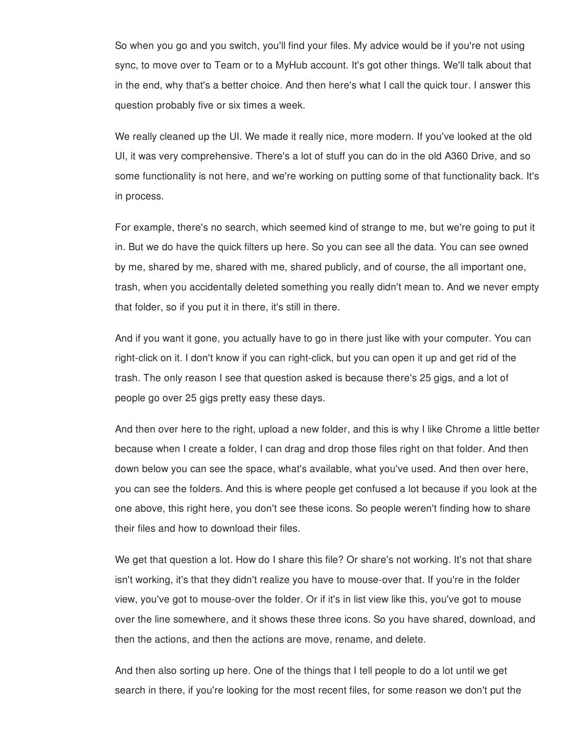So when you go and you switch, you'll find your files. My advice would be if you're not using sync, to move over to Team or to a MyHub account. It's got other things. We'll talk about that in the end, why that's a better choice. And then here's what I call the quick tour. I answer this question probably five or six times a week.

We really cleaned up the UI. We made it really nice, more modern. If you've looked at the old UI, it was very comprehensive. There's a lot of stuff you can do in the old A360 Drive, and so some functionality is not here, and we're working on putting some of that functionality back. It's in process.

For example, there's no search, which seemed kind of strange to me, but we're going to put it in. But we do have the quick filters up here. So you can see all the data. You can see owned by me, shared by me, shared with me, shared publicly, and of course, the all important one, trash, when you accidentally deleted something you really didn't mean to. And we never empty that folder, so if you put it in there, it's still in there.

And if you want it gone, you actually have to go in there just like with your computer. You can right-click on it. I don't know if you can right-click, but you can open it up and get rid of the trash. The only reason I see that question asked is because there's 25 gigs, and a lot of people go over 25 gigs pretty easy these days.

And then over here to the right, upload a new folder, and this is why I like Chrome a little better because when I create a folder, I can drag and drop those files right on that folder. And then down below you can see the space, what's available, what you've used. And then over here, you can see the folders. And this is where people get confused a lot because if you look at the one above, this right here, you don't see these icons. So people weren't finding how to share their files and how to download their files.

We get that question a lot. How do I share this file? Or share's not working. It's not that share isn't working, it's that they didn't realize you have to mouse-over that. If you're in the folder view, you've got to mouse-over the folder. Or if it's in list view like this, you've got to mouse over the line somewhere, and it shows these three icons. So you have shared, download, and then the actions, and then the actions are move, rename, and delete.

And then also sorting up here. One of the things that I tell people to do a lot until we get search in there, if you're looking for the most recent files, for some reason we don't put the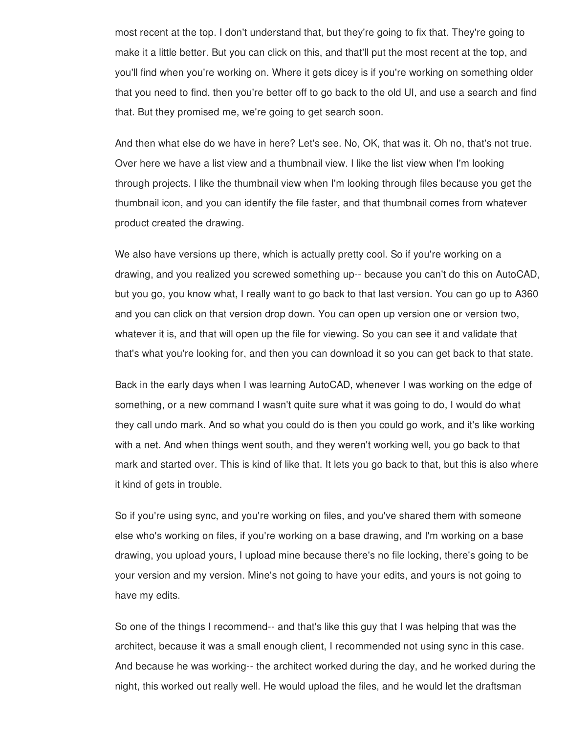most recent at the top. I don't understand that, but they're going to fix that. They're going to make it a little better. But you can click on this, and that'll put the most recent at the top, and you'll find when you're working on. Where it gets dicey is if you're working on something older that you need to find, then you're better off to go back to the old UI, and use a search and find that. But they promised me, we're going to get search soon.

And then what else do we have in here? Let's see. No, OK, that was it. Oh no, that's not true. Over here we have a list view and a thumbnail view. I like the list view when I'm looking through projects. I like the thumbnail view when I'm looking through files because you get the thumbnail icon, and you can identify the file faster, and that thumbnail comes from whatever product created the drawing.

We also have versions up there, which is actually pretty cool. So if you're working on a drawing, and you realized you screwed something up-- because you can't do this on AutoCAD, but you go, you know what, I really want to go back to that last version. You can go up to A360 and you can click on that version drop down. You can open up version one or version two, whatever it is, and that will open up the file for viewing. So you can see it and validate that that's what you're looking for, and then you can download it so you can get back to that state.

Back in the early days when I was learning AutoCAD, whenever I was working on the edge of something, or a new command I wasn't quite sure what it was going to do, I would do what they call undo mark. And so what you could do is then you could go work, and it's like working with a net. And when things went south, and they weren't working well, you go back to that mark and started over. This is kind of like that. It lets you go back to that, but this is also where it kind of gets in trouble.

So if you're using sync, and you're working on files, and you've shared them with someone else who's working on files, if you're working on a base drawing, and I'm working on a base drawing, you upload yours, I upload mine because there's no file locking, there's going to be your version and my version. Mine's not going to have your edits, and yours is not going to have my edits.

So one of the things I recommend-- and that's like this guy that I was helping that was the architect, because it was a small enough client, I recommended not using sync in this case. And because he was working-- the architect worked during the day, and he worked during the night, this worked out really well. He would upload the files, and he would let the draftsman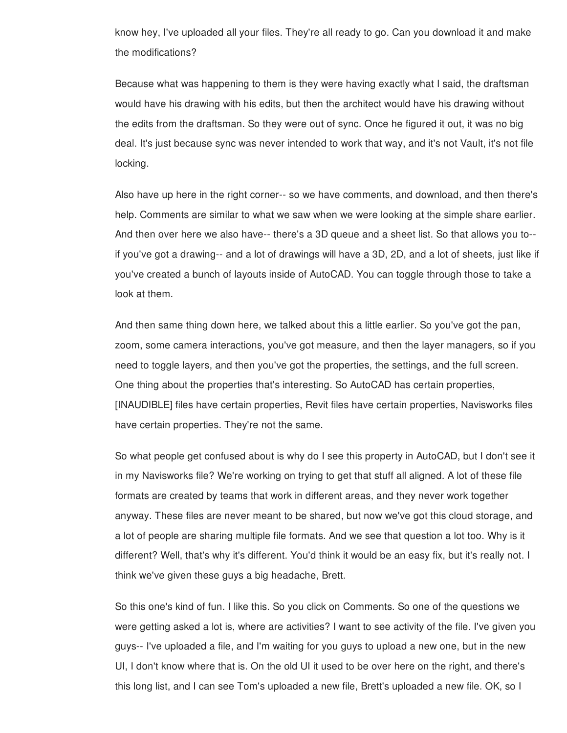know hey, I've uploaded all your files. They're all ready to go. Can you download it and make the modifications?

Because what was happening to them is they were having exactly what I said, the draftsman would have his drawing with his edits, but then the architect would have his drawing without the edits from the draftsman. So they were out of sync. Once he figured it out, it was no big deal. It's just because sync was never intended to work that way, and it's not Vault, it's not file locking.

Also have up here in the right corner-- so we have comments, and download, and then there's help. Comments are similar to what we saw when we were looking at the simple share earlier. And then over here we also have-- there's a 3D queue and a sheet list. So that allows you to- if you've got a drawing-- and a lot of drawings will have a 3D, 2D, and a lot of sheets, just like if you've created a bunch of layouts inside of AutoCAD. You can toggle through those to take a look at them.

And then same thing down here, we talked about this a little earlier. So you've got the pan, zoom, some camera interactions, you've got measure, and then the layer managers, so if you need to toggle layers, and then you've got the properties, the settings, and the full screen. One thing about the properties that's interesting. So AutoCAD has certain properties, [INAUDIBLE] files have certain properties, Revit files have certain properties, Navisworks files have certain properties. They're not the same.

So what people get confused about is why do I see this property in AutoCAD, but I don't see it in my Navisworks file? We're working on trying to get that stuff all aligned. A lot of these file formats are created by teams that work in different areas, and they never work together anyway. These files are never meant to be shared, but now we've got this cloud storage, and a lot of people are sharing multiple file formats. And we see that question a lot too. Why is it different? Well, that's why it's different. You'd think it would be an easy fix, but it's really not. I think we've given these guys a big headache, Brett.

So this one's kind of fun. I like this. So you click on Comments. So one of the questions we were getting asked a lot is, where are activities? I want to see activity of the file. I've given you guys-- I've uploaded a file, and I'm waiting for you guys to upload a new one, but in the new UI, I don't know where that is. On the old UI it used to be over here on the right, and there's this long list, and I can see Tom's uploaded a new file, Brett's uploaded a new file. OK, so I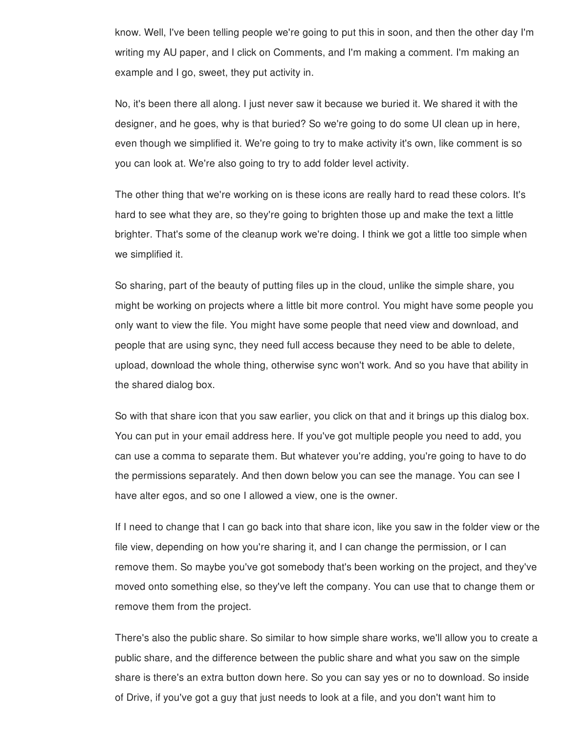know. Well, I've been telling people we're going to put this in soon, and then the other day I'm writing my AU paper, and I click on Comments, and I'm making a comment. I'm making an example and I go, sweet, they put activity in.

No, it's been there all along. I just never saw it because we buried it. We shared it with the designer, and he goes, why is that buried? So we're going to do some UI clean up in here, even though we simplified it. We're going to try to make activity it's own, like comment is so you can look at. We're also going to try to add folder level activity.

The other thing that we're working on is these icons are really hard to read these colors. It's hard to see what they are, so they're going to brighten those up and make the text a little brighter. That's some of the cleanup work we're doing. I think we got a little too simple when we simplified it.

So sharing, part of the beauty of putting files up in the cloud, unlike the simple share, you might be working on projects where a little bit more control. You might have some people you only want to view the file. You might have some people that need view and download, and people that are using sync, they need full access because they need to be able to delete, upload, download the whole thing, otherwise sync won't work. And so you have that ability in the shared dialog box.

So with that share icon that you saw earlier, you click on that and it brings up this dialog box. You can put in your email address here. If you've got multiple people you need to add, you can use a comma to separate them. But whatever you're adding, you're going to have to do the permissions separately. And then down below you can see the manage. You can see I have alter egos, and so one I allowed a view, one is the owner.

If I need to change that I can go back into that share icon, like you saw in the folder view or the file view, depending on how you're sharing it, and I can change the permission, or I can remove them. So maybe you've got somebody that's been working on the project, and they've moved onto something else, so they've left the company. You can use that to change them or remove them from the project.

There's also the public share. So similar to how simple share works, we'll allow you to create a public share, and the difference between the public share and what you saw on the simple share is there's an extra button down here. So you can say yes or no to download. So inside of Drive, if you've got a guy that just needs to look at a file, and you don't want him to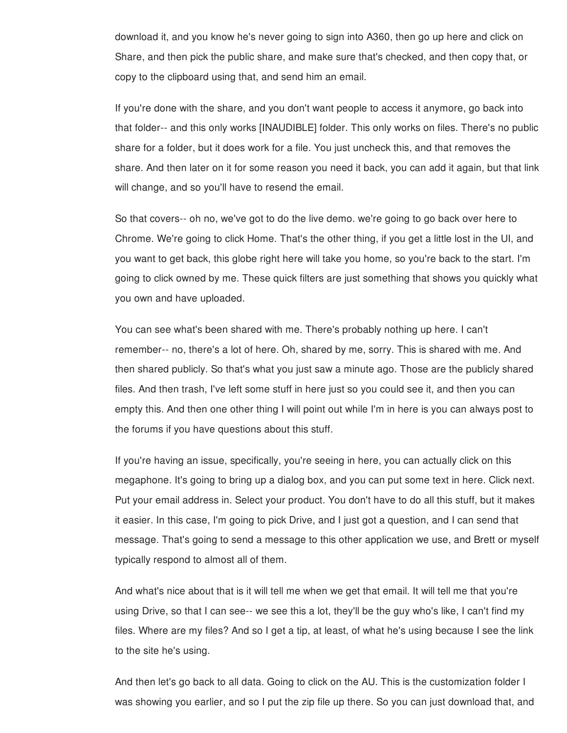download it, and you know he's never going to sign into A360, then go up here and click on Share, and then pick the public share, and make sure that's checked, and then copy that, or copy to the clipboard using that, and send him an email.

If you're done with the share, and you don't want people to access it anymore, go back into that folder-- and this only works [INAUDIBLE] folder. This only works on files. There's no public share for a folder, but it does work for a file. You just uncheck this, and that removes the share. And then later on it for some reason you need it back, you can add it again, but that link will change, and so you'll have to resend the email.

So that covers-- oh no, we've got to do the live demo. we're going to go back over here to Chrome. We're going to click Home. That's the other thing, if you get a little lost in the UI, and you want to get back, this globe right here will take you home, so you're back to the start. I'm going to click owned by me. These quick filters are just something that shows you quickly what you own and have uploaded.

You can see what's been shared with me. There's probably nothing up here. I can't remember-- no, there's a lot of here. Oh, shared by me, sorry. This is shared with me. And then shared publicly. So that's what you just saw a minute ago. Those are the publicly shared files. And then trash, I've left some stuff in here just so you could see it, and then you can empty this. And then one other thing I will point out while I'm in here is you can always post to the forums if you have questions about this stuff.

If you're having an issue, specifically, you're seeing in here, you can actually click on this megaphone. It's going to bring up a dialog box, and you can put some text in here. Click next. Put your email address in. Select your product. You don't have to do all this stuff, but it makes it easier. In this case, I'm going to pick Drive, and I just got a question, and I can send that message. That's going to send a message to this other application we use, and Brett or myself typically respond to almost all of them.

And what's nice about that is it will tell me when we get that email. It will tell me that you're using Drive, so that I can see-- we see this a lot, they'll be the guy who's like, I can't find my files. Where are my files? And so I get a tip, at least, of what he's using because I see the link to the site he's using.

And then let's go back to all data. Going to click on the AU. This is the customization folder I was showing you earlier, and so I put the zip file up there. So you can just download that, and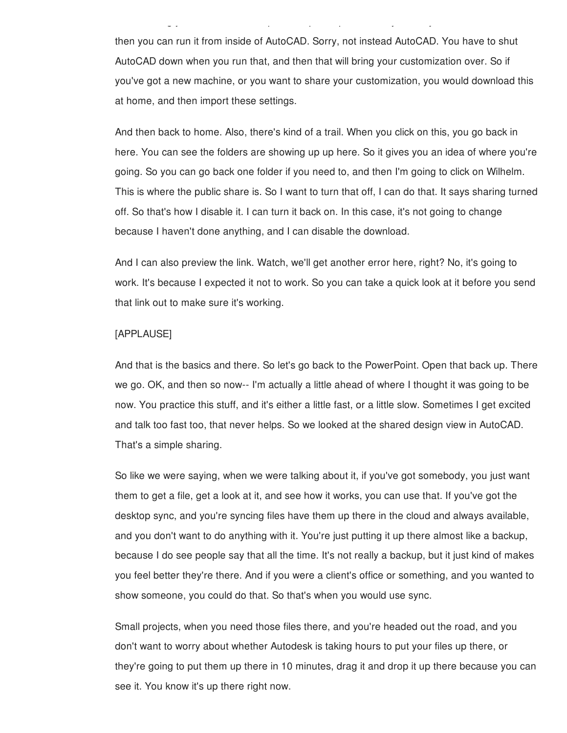then you can run it from inside of AutoCAD. Sorry, not instead AutoCAD. You have to shut AutoCAD down when you run that, and then that will bring your customization over. So if you've got a new machine, or you want to share your customization, you would download this at home, and then import these settings.

was showing you earlier, and so I put the zip file up the zip file up the zip file up the zip file up that, an

And then back to home. Also, there's kind of a trail. When you click on this, you go back in here. You can see the folders are showing up up here. So it gives you an idea of where you're going. So you can go back one folder if you need to, and then I'm going to click on Wilhelm. This is where the public share is. So I want to turn that off, I can do that. It says sharing turned off. So that's how I disable it. I can turn it back on. In this case, it's not going to change because I haven't done anything, and I can disable the download.

And I can also preview the link. Watch, we'll get another error here, right? No, it's going to work. It's because I expected it not to work. So you can take a quick look at it before you send that link out to make sure it's working.

## [APPLAUSE]

And that is the basics and there. So let's go back to the PowerPoint. Open that back up. There we go. OK, and then so now-- I'm actually a little ahead of where I thought it was going to be now. You practice this stuff, and it's either a little fast, or a little slow. Sometimes I get excited and talk too fast too, that never helps. So we looked at the shared design view in AutoCAD. That's a simple sharing.

So like we were saying, when we were talking about it, if you've got somebody, you just want them to get a file, get a look at it, and see how it works, you can use that. If you've got the desktop sync, and you're syncing files have them up there in the cloud and always available, and you don't want to do anything with it. You're just putting it up there almost like a backup, because I do see people say that all the time. It's not really a backup, but it just kind of makes you feel better they're there. And if you were a client's office or something, and you wanted to show someone, you could do that. So that's when you would use sync.

Small projects, when you need those files there, and you're headed out the road, and you don't want to worry about whether Autodesk is taking hours to put your files up there, or they're going to put them up there in 10 minutes, drag it and drop it up there because you can see it. You know it's up there right now.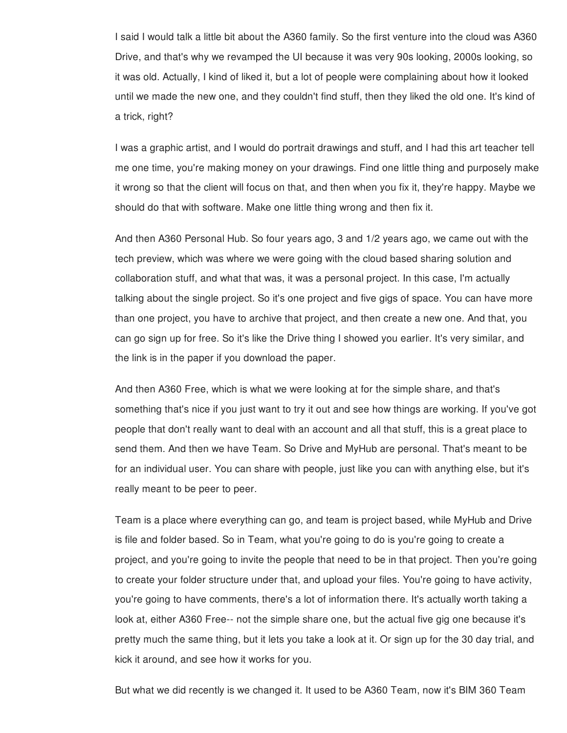I said I would talk a little bit about the A360 family. So the first venture into the cloud was A360 Drive, and that's why we revamped the UI because it was very 90s looking, 2000s looking, so it was old. Actually, I kind of liked it, but a lot of people were complaining about how it looked until we made the new one, and they couldn't find stuff, then they liked the old one. It's kind of a trick, right?

I was a graphic artist, and I would do portrait drawings and stuff, and I had this art teacher tell me one time, you're making money on your drawings. Find one little thing and purposely make it wrong so that the client will focus on that, and then when you fix it, they're happy. Maybe we should do that with software. Make one little thing wrong and then fix it.

And then A360 Personal Hub. So four years ago, 3 and 1/2 years ago, we came out with the tech preview, which was where we were going with the cloud based sharing solution and collaboration stuff, and what that was, it was a personal project. In this case, I'm actually talking about the single project. So it's one project and five gigs of space. You can have more than one project, you have to archive that project, and then create a new one. And that, you can go sign up for free. So it's like the Drive thing I showed you earlier. It's very similar, and the link is in the paper if you download the paper.

And then A360 Free, which is what we were looking at for the simple share, and that's something that's nice if you just want to try it out and see how things are working. If you've got people that don't really want to deal with an account and all that stuff, this is a great place to send them. And then we have Team. So Drive and MyHub are personal. That's meant to be for an individual user. You can share with people, just like you can with anything else, but it's really meant to be peer to peer.

Team is a place where everything can go, and team is project based, while MyHub and Drive is file and folder based. So in Team, what you're going to do is you're going to create a project, and you're going to invite the people that need to be in that project. Then you're going to create your folder structure under that, and upload your files. You're going to have activity, you're going to have comments, there's a lot of information there. It's actually worth taking a look at, either A360 Free-- not the simple share one, but the actual five gig one because it's pretty much the same thing, but it lets you take a look at it. Or sign up for the 30 day trial, and kick it around, and see how it works for you.

But what we did recently is we changed it. It used to be A360 Team, now it's BIM 360 Team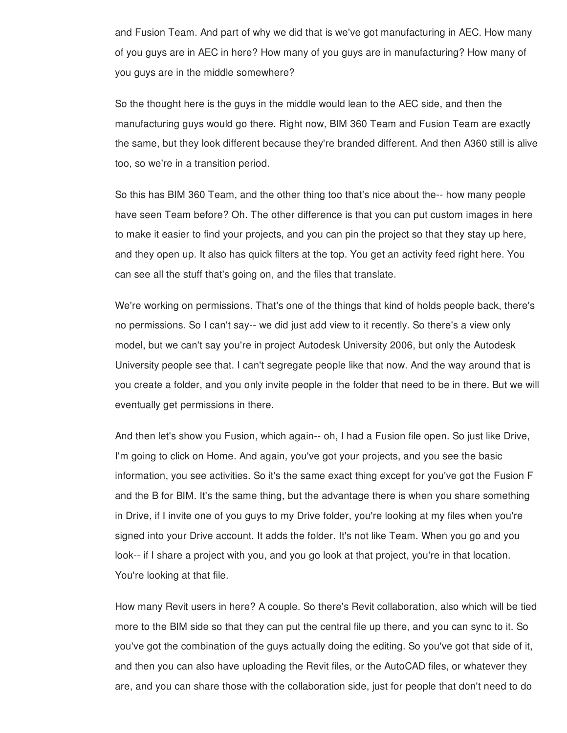and Fusion Team. And part of why we did that is we've got manufacturing in AEC. How many of you guys are in AEC in here? How many of you guys are in manufacturing? How many of you guys are in the middle somewhere?

So the thought here is the guys in the middle would lean to the AEC side, and then the manufacturing guys would go there. Right now, BIM 360 Team and Fusion Team are exactly the same, but they look different because they're branded different. And then A360 still is alive too, so we're in a transition period.

So this has BIM 360 Team, and the other thing too that's nice about the-- how many people have seen Team before? Oh. The other difference is that you can put custom images in here to make it easier to find your projects, and you can pin the project so that they stay up here, and they open up. It also has quick filters at the top. You get an activity feed right here. You can see all the stuff that's going on, and the files that translate.

We're working on permissions. That's one of the things that kind of holds people back, there's no permissions. So I can't say-- we did just add view to it recently. So there's a view only model, but we can't say you're in project Autodesk University 2006, but only the Autodesk University people see that. I can't segregate people like that now. And the way around that is you create a folder, and you only invite people in the folder that need to be in there. But we will eventually get permissions in there.

And then let's show you Fusion, which again-- oh, I had a Fusion file open. So just like Drive, I'm going to click on Home. And again, you've got your projects, and you see the basic information, you see activities. So it's the same exact thing except for you've got the Fusion F and the B for BIM. It's the same thing, but the advantage there is when you share something in Drive, if I invite one of you guys to my Drive folder, you're looking at my files when you're signed into your Drive account. It adds the folder. It's not like Team. When you go and you look-- if I share a project with you, and you go look at that project, you're in that location. You're looking at that file.

How many Revit users in here? A couple. So there's Revit collaboration, also which will be tied more to the BIM side so that they can put the central file up there, and you can sync to it. So you've got the combination of the guys actually doing the editing. So you've got that side of it, and then you can also have uploading the Revit files, or the AutoCAD files, or whatever they are, and you can share those with the collaboration side, just for people that don't need to do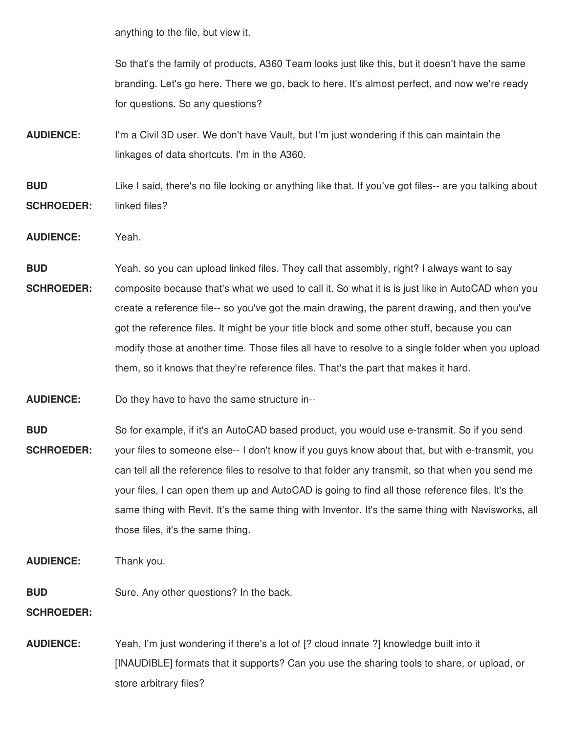anything to the file, but view it.

So that's the family of products, A360 Team looks just like this, but it doesn't have the same branding. Let's go here. There we go, back to here. It's almost perfect, and now we're ready for questions. So any questions?

**AUDIENCE:** I'm a Civil 3D user. We don't have Vault, but I'm just wondering if this can maintain the linkages of data shortcuts. I'm in the A360.

### **BUD SCHROEDER:** Like I said, there's no file locking or anything like that. If you've got files-- are you talking about linked files?

- **AUDIENCE:** Yeah.
- **BUD SCHROEDER:** Yeah, so you can upload linked files. They call that assembly, right? I always want to say composite because that's what we used to call it. So what it is is just like in AutoCAD when you create a reference file-- so you've got the main drawing, the parent drawing, and then you've got the reference files. It might be your title block and some other stuff, because you can modify those at another time. Those files all have to resolve to a single folder when you upload them, so it knows that they're reference files. That's the part that makes it hard.
- **AUDIENCE:** Do they have to have the same structure in--
- **BUD SCHROEDER:** So for example, if it's an AutoCAD based product, you would use e-transmit. So if you send your files to someone else-- I don't know if you guys know about that, but with e-transmit, you can tell all the reference files to resolve to that folder any transmit, so that when you send me your files, I can open them up and AutoCAD is going to find all those reference files. It's the same thing with Revit. It's the same thing with Inventor. It's the same thing with Navisworks, all those files, it's the same thing.
- **AUDIENCE:** Thank you.
- **BUD** Sure. Any other questions? In the back.

**SCHROEDER:**

**AUDIENCE:** Yeah, I'm just wondering if there's a lot of [? cloud innate ?] knowledge built into it [INAUDIBLE] formats that it supports? Can you use the sharing tools to share, or upload, or store arbitrary files?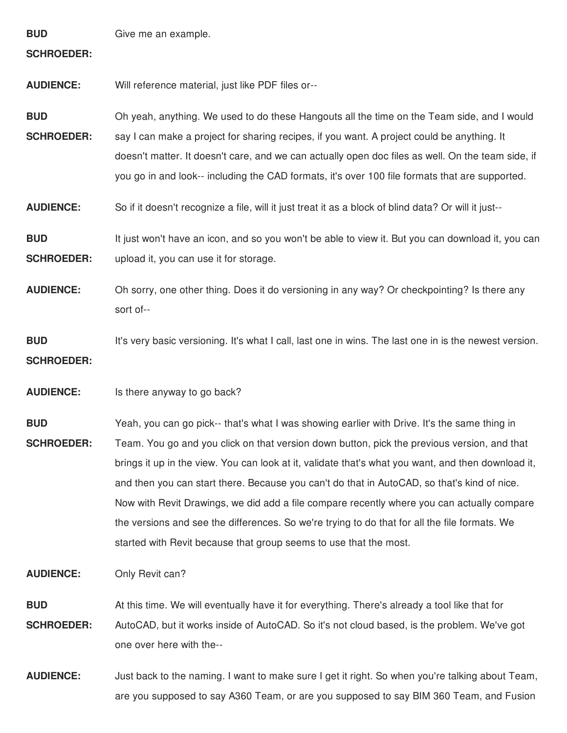| <b>BUD</b><br><b>SCHROEDER:</b> | Give me an example.                                                                                                                                                                                                                                                                                                                                                                                                                                                                                                                                                                                                                                                  |
|---------------------------------|----------------------------------------------------------------------------------------------------------------------------------------------------------------------------------------------------------------------------------------------------------------------------------------------------------------------------------------------------------------------------------------------------------------------------------------------------------------------------------------------------------------------------------------------------------------------------------------------------------------------------------------------------------------------|
| <b>AUDIENCE:</b>                | Will reference material, just like PDF files or--                                                                                                                                                                                                                                                                                                                                                                                                                                                                                                                                                                                                                    |
| <b>BUD</b><br><b>SCHROEDER:</b> | Oh yeah, anything. We used to do these Hangouts all the time on the Team side, and I would<br>say I can make a project for sharing recipes, if you want. A project could be anything. It<br>doesn't matter. It doesn't care, and we can actually open doc files as well. On the team side, if<br>you go in and look-- including the CAD formats, it's over 100 file formats that are supported.                                                                                                                                                                                                                                                                      |
| <b>AUDIENCE:</b>                | So if it doesn't recognize a file, will it just treat it as a block of blind data? Or will it just--                                                                                                                                                                                                                                                                                                                                                                                                                                                                                                                                                                 |
| <b>BUD</b><br><b>SCHROEDER:</b> | It just won't have an icon, and so you won't be able to view it. But you can download it, you can<br>upload it, you can use it for storage.                                                                                                                                                                                                                                                                                                                                                                                                                                                                                                                          |
| <b>AUDIENCE:</b>                | Oh sorry, one other thing. Does it do versioning in any way? Or checkpointing? Is there any<br>sort of--                                                                                                                                                                                                                                                                                                                                                                                                                                                                                                                                                             |
| <b>BUD</b><br><b>SCHROEDER:</b> | It's very basic versioning. It's what I call, last one in wins. The last one in is the newest version.                                                                                                                                                                                                                                                                                                                                                                                                                                                                                                                                                               |
| <b>AUDIENCE:</b>                | Is there anyway to go back?                                                                                                                                                                                                                                                                                                                                                                                                                                                                                                                                                                                                                                          |
| <b>BUD</b><br><b>SCHROEDER:</b> | Yeah, you can go pick-- that's what I was showing earlier with Drive. It's the same thing in<br>Team. You go and you click on that version down button, pick the previous version, and that<br>brings it up in the view. You can look at it, validate that's what you want, and then download it,<br>and then you can start there. Because you can't do that in AutoCAD, so that's kind of nice.<br>Now with Revit Drawings, we did add a file compare recently where you can actually compare<br>the versions and see the differences. So we're trying to do that for all the file formats. We<br>started with Revit because that group seems to use that the most. |
| <b>AUDIENCE:</b>                | Only Revit can?                                                                                                                                                                                                                                                                                                                                                                                                                                                                                                                                                                                                                                                      |

**BUD SCHROEDER:** At this time. We will eventually have it for everything. There's already a tool like that for AutoCAD, but it works inside of AutoCAD. So it's not cloud based, is the problem. We've got one over here with the--

**AUDIENCE:** Just back to the naming. I want to make sure I get it right. So when you're talking about Team, are you supposed to say A360 Team, or are you supposed to say BIM 360 Team, and Fusion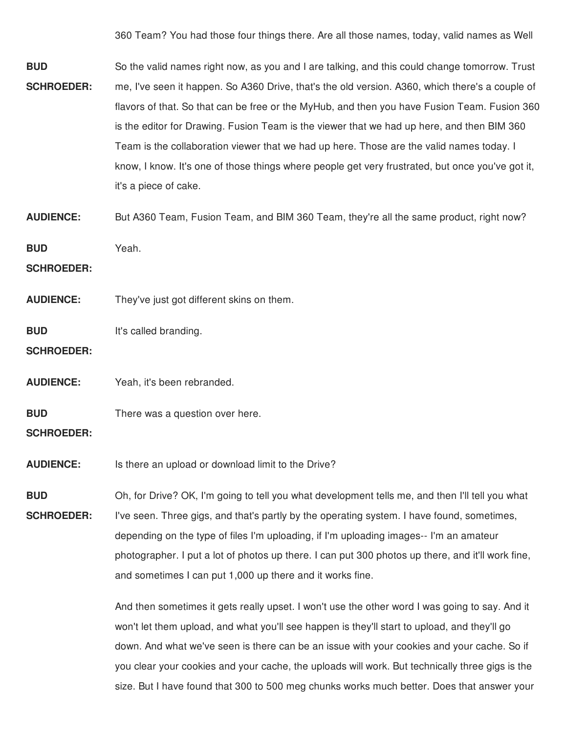360 Team? You had those four things there. Are all those names, today, valid names as Well

**BUD SCHROEDER:** So the valid names right now, as you and I are talking, and this could change tomorrow. Trust me, I've seen it happen. So A360 Drive, that's the old version. A360, which there's a couple of flavors of that. So that can be free or the MyHub, and then you have Fusion Team. Fusion 360 is the editor for Drawing. Fusion Team is the viewer that we had up here, and then BIM 360 Team is the collaboration viewer that we had up here. Those are the valid names today. I know, I know. It's one of those things where people get very frustrated, but once you've got it, it's a piece of cake.

**AUDIENCE:** But A360 Team, Fusion Team, and BIM 360 Team, they're all the same product, right now?

**BUD** Yeah.

**SCHROEDER:**

**AUDIENCE:** They've just got different skins on them.

**BUD** It's called branding.

**SCHROEDER:**

**AUDIENCE:** Yeah, it's been rebranded.

**BUD** There was a question over here.

**SCHROEDER:**

**AUDIENCE:** Is there an upload or download limit to the Drive?

**BUD SCHROEDER:** Oh, for Drive? OK, I'm going to tell you what development tells me, and then I'll tell you what I've seen. Three gigs, and that's partly by the operating system. I have found, sometimes, depending on the type of files I'm uploading, if I'm uploading images-- I'm an amateur photographer. I put a lot of photos up there. I can put 300 photos up there, and it'll work fine, and sometimes I can put 1,000 up there and it works fine.

> And then sometimes it gets really upset. I won't use the other word I was going to say. And it won't let them upload, and what you'll see happen is they'll start to upload, and they'll go down. And what we've seen is there can be an issue with your cookies and your cache. So if you clear your cookies and your cache, the uploads will work. But technically three gigs is the size. But I have found that 300 to 500 meg chunks works much better. Does that answer your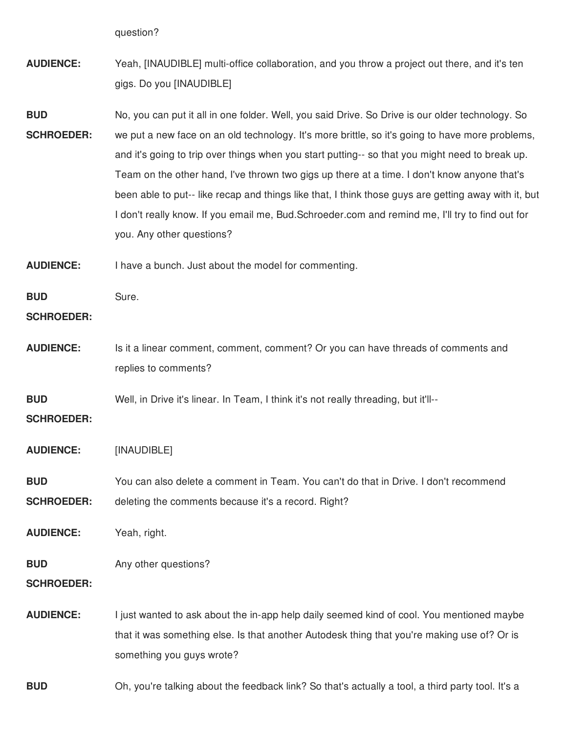question?

- **AUDIENCE:** Yeah, [INAUDIBLE] multi-office collaboration, and you throw a project out there, and it's ten gigs. Do you [INAUDIBLE]
- **BUD SCHROEDER:** No, you can put it all in one folder. Well, you said Drive. So Drive is our older technology. So we put a new face on an old technology. It's more brittle, so it's going to have more problems, and it's going to trip over things when you start putting-- so that you might need to break up. Team on the other hand, I've thrown two gigs up there at a time. I don't know anyone that's been able to put-- like recap and things like that, I think those guys are getting away with it, but I don't really know. If you email me, Bud.Schroeder.com and remind me, I'll try to find out for you. Any other questions?
- **AUDIENCE:** I have a bunch. Just about the model for commenting.

**BUD** Sure.

### **SCHROEDER:**

**AUDIENCE:** Is it a linear comment, comment, comment? Or you can have threads of comments and replies to comments?

**BUD** Well, in Drive it's linear. In Team, I think it's not really threading, but it'll--

**SCHROEDER:**

- **AUDIENCE:** [INAUDIBLE]
- **BUD SCHROEDER:** You can also delete a comment in Team. You can't do that in Drive. I don't recommend deleting the comments because it's a record. Right?
- **AUDIENCE:** Yeah, right.

#### **BUD** Any other questions?

**SCHROEDER:**

**AUDIENCE:** I just wanted to ask about the in-app help daily seemed kind of cool. You mentioned maybe that it was something else. Is that another Autodesk thing that you're making use of? Or is something you guys wrote?

**BUD** Oh, you're talking about the feedback link? So that's actually a tool, a third party tool. It's a